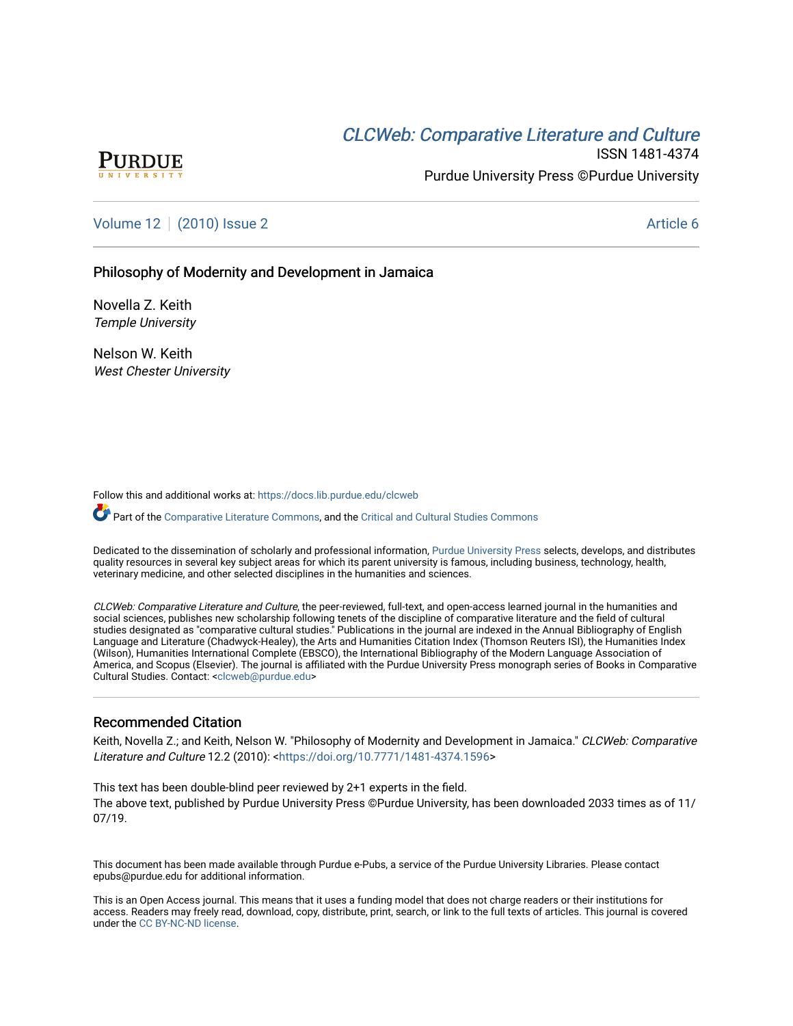# CLCW[eb: Comparative Liter](https://docs.lib.purdue.edu/clcweb)ature and Culture



ISSN 1481-4374 Purdue University Press ©Purdue University

## [Volume 12](https://docs.lib.purdue.edu/clcweb/vol12) | [\(2010\) Issue 2](https://docs.lib.purdue.edu/clcweb/vol12/iss2) Article 6

#### Philosophy of Modernity and Development in Jamaica

Novella Z. Keith Temple University

Nelson W. Keith West Chester University

Follow this and additional works at: [https://docs.lib.purdue.edu/clcweb](https://docs.lib.purdue.edu/clcweb?utm_source=docs.lib.purdue.edu%2Fclcweb%2Fvol12%2Fiss2%2F6&utm_medium=PDF&utm_campaign=PDFCoverPages)

Part of the [Comparative Literature Commons,](http://network.bepress.com/hgg/discipline/454?utm_source=docs.lib.purdue.edu%2Fclcweb%2Fvol12%2Fiss2%2F6&utm_medium=PDF&utm_campaign=PDFCoverPages) and the Critical and Cultural Studies Commons

Dedicated to the dissemination of scholarly and professional information, [Purdue University Press](http://www.thepress.purdue.edu/) selects, develops, and distributes quality resources in several key subject areas for which its parent university is famous, including business, technology, health, veterinary medicine, and other selected disciplines in the humanities and sciences.

CLCWeb: Comparative Literature and Culture, the peer-reviewed, full-text, and open-access learned journal in the humanities and social sciences, publishes new scholarship following tenets of the discipline of comparative literature and the field of cultural studies designated as "comparative cultural studies." Publications in the journal are indexed in the Annual Bibliography of English Language and Literature (Chadwyck-Healey), the Arts and Humanities Citation Index (Thomson Reuters ISI), the Humanities Index (Wilson), Humanities International Complete (EBSCO), the International Bibliography of the Modern Language Association of America, and Scopus (Elsevier). The journal is affiliated with the Purdue University Press monograph series of Books in Comparative Cultural Studies. Contact: [<clcweb@purdue.edu](mailto:clcweb@purdue.edu)>

#### Recommended Citation

Keith, Novella Z.; and Keith, Nelson W. "Philosophy of Modernity and Development in Jamaica." CLCWeb: Comparative Literature and Culture 12.2 (2010): <<https://doi.org/10.7771/1481-4374.1596>>

This text has been double-blind peer reviewed by 2+1 experts in the field. The above text, published by Purdue University Press ©Purdue University, has been downloaded 2033 times as of 11/ 07/19.

This document has been made available through Purdue e-Pubs, a service of the Purdue University Libraries. Please contact epubs@purdue.edu for additional information.

This is an Open Access journal. This means that it uses a funding model that does not charge readers or their institutions for access. Readers may freely read, download, copy, distribute, print, search, or link to the full texts of articles. This journal is covered under the [CC BY-NC-ND license.](https://creativecommons.org/licenses/by-nc-nd/4.0/)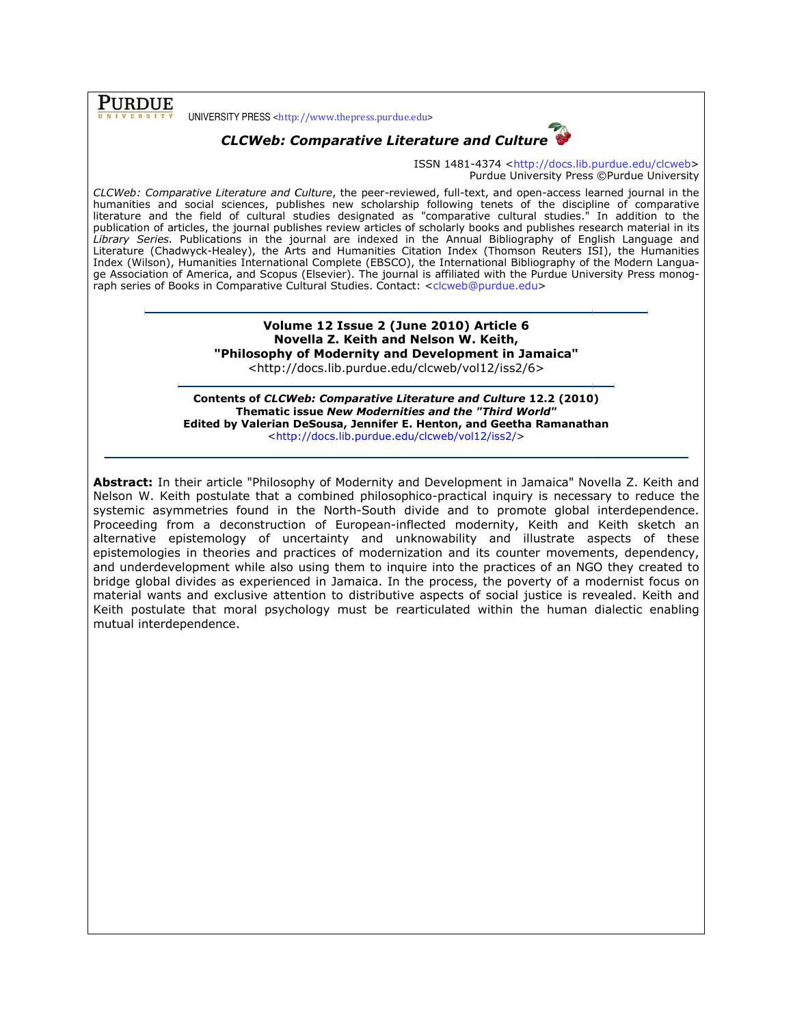**PURDUE** UNIVERSITY PRESS <http://www.thepress.purdue.edu>



ISSN 1481-4374 <http://docs.lib.purdue.edu/clcweb> Purdue University Press ©Purdue University

CLCWeb: Comparative Literature and Culture, the peer-reviewed, full-text, and open-access learned journal in the humanities and social sciences, publishes new scholarship following tenets of the discipline of comparative literature and the field of cultural studies designated as "comparative cultural studies." In addition to the publication of articles, the journal publishes review articles of scholarly books and publishes research material in its Library Series. Publications in the journal are indexed in the Annual Bibliography of English Language and Literature (Chadwyck-Healey), the Arts and Humanities Citation Index (Thomson Reuters ISI), the Humanities Index (Wilson), Humanities International Complete (EBSCO), the International Bibliography of the Modern Langua Index (Wilson), Humanities International Complete (EBSCO), the International Bibliography of the Modern Langua-<br>ge Association of America, and Scopus (Elsevier). The journal is affiliated with the Purdue University Press m raph series of Books in Comparative Cultural Studies. Contact: <clcweb@purdue.edu> ial of comparative and social sciences, publishes new scholarship following tenets of the discipline of comparative and the field of cultural studies designated as "comparative cultural studies." In addition to the in of a full-text, and open-access learned journal in the<br>wing tenets of the discipline of comparative<br>party books and publishes research material in its<br>Annual Bibliography of English Language and<br>Index (Thomson Reuters ISI), the

> Volume 12 Issue 2 (June 2010) Article 6 Novella Z. Keith and Nelson W. Keith, "Philosophy of Modernity and Development in Jamaica" <http://docs.lib.purdue.edu/clcweb/vol12/iss2/6>

Contents of CLCWeb: Comparative Literature and Culture 12.2 (2010) Thematic issue Thematic issue New Modernities and the "Third World" Edited by Valerian DeSousa, Jennifer E. Henton, and Geetha Ramanathan <http://docs.lib.purdue.edu/clcweb/vol12/iss2/ http://docs.lib.purdue.edu/clcweb/vol12/iss2/>

Abstract: In their article "Philosophy of Modernity and Development in Jamaica" Novella Z. Keith and **Abstract:** In their article "Philosophy of Modernity and Development in Jamaica" Novella Z. Keith and<br>Nelson W. Keith postulate that a combined philosophico-practical inquiry is necessary to reduce the systemic asymmetries found in the North-South divide and to promote global interdependence. Proceeding from a deconstruction of European-inflected modernity, Keith and Keith sketch an alternative epistemology of uncertainty and unknowability and illustrate aspects of these epistemologies in theories and practices of modernization and its counter movements, dependency, and underdevelopment while also using them to inquire into the practices of an NGO they created to bridge global divides as experienced in Jamaica. In the process, the poverty of a modernist focus on material wants and exclusive attention to distributive aspects of social justice is revealed. Keith and Keith postulate that moral psychology must be rearticulated within the human dialectic enabling mutual interdependence. native epistemology of uncertainty and unknowability and illustrate aspects of these<br>:emologies in theories and practices of modernization and its counter movements, dependency,<br>underdevelopment while also using them to in ISSN 143744-374418143944. Properative and Culture, the peer-reviewed, full-text, and open-access learning in the poverty of the setter and the port-reviewed for the step and the port-reviewed for the subsequental in the p philosophico-practical inquiry is necessary to i<br>South divide and to promote global interde<br>pean-inflected modernity, Keith and Keith<br>and unknowability and illustrate aspects<br>modernization and its counter movements, de<br>i t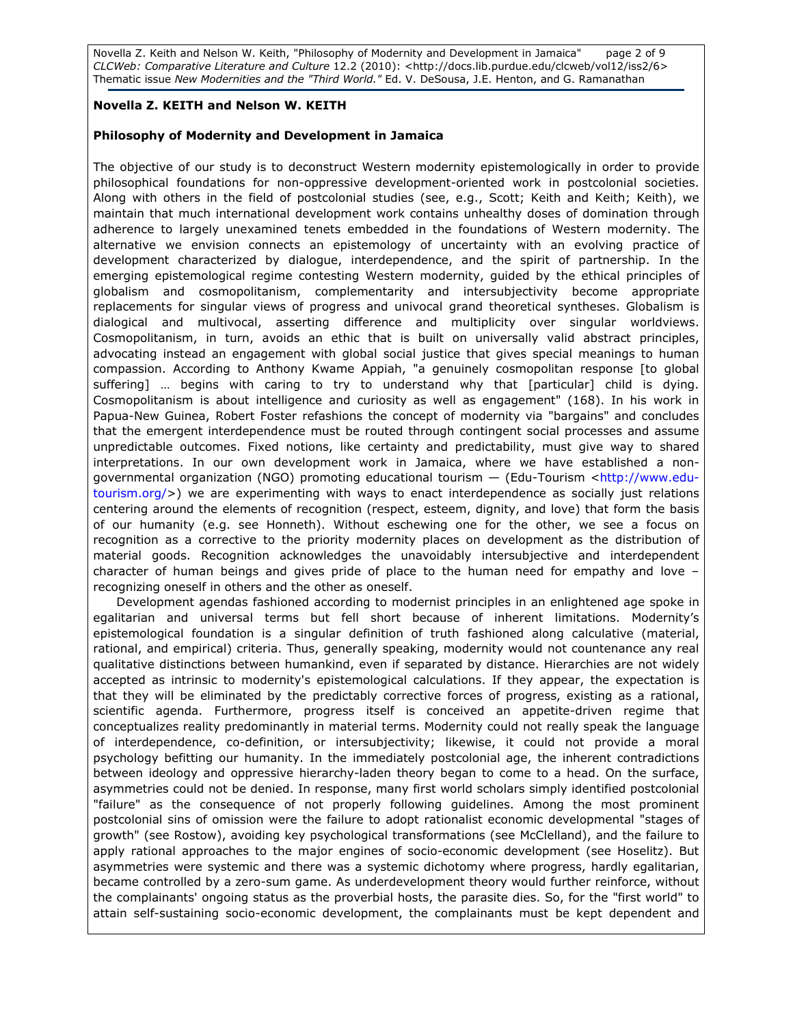Novella Z. Keith and Nelson W. Keith, "Philosophy of Modernity and Development in Jamaica" page 2 of 9 CLCWeb: Comparative Literature and Culture 12.2 (2010): <http://docs.lib.purdue.edu/clcweb/vol12/iss2/6> Thematic issue New Modernities and the "Third World." Ed. V. DeSousa, J.E. Henton, and G. Ramanathan

### Novella Z. KEITH and Nelson W. KEITH

### Philosophy of Modernity and Development in Jamaica

The objective of our study is to deconstruct Western modernity epistemologically in order to provide philosophical foundations for non-oppressive development-oriented work in postcolonial societies. Along with others in the field of postcolonial studies (see, e.g., Scott; Keith and Keith; Keith), we maintain that much international development work contains unhealthy doses of domination through adherence to largely unexamined tenets embedded in the foundations of Western modernity. The alternative we envision connects an epistemology of uncertainty with an evolving practice of development characterized by dialogue, interdependence, and the spirit of partnership. In the emerging epistemological regime contesting Western modernity, guided by the ethical principles of globalism and cosmopolitanism, complementarity and intersubjectivity become appropriate replacements for singular views of progress and univocal grand theoretical syntheses. Globalism is dialogical and multivocal, asserting difference and multiplicity over singular worldviews. Cosmopolitanism, in turn, avoids an ethic that is built on universally valid abstract principles, advocating instead an engagement with global social justice that gives special meanings to human compassion. According to Anthony Kwame Appiah, "a genuinely cosmopolitan response [to global suffering] … begins with caring to try to understand why that [particular] child is dying. Cosmopolitanism is about intelligence and curiosity as well as engagement" (168). In his work in Papua-New Guinea, Robert Foster refashions the concept of modernity via "bargains" and concludes that the emergent interdependence must be routed through contingent social processes and assume unpredictable outcomes. Fixed notions, like certainty and predictability, must give way to shared interpretations. In our own development work in Jamaica, where we have established a nongovernmental organization (NGO) promoting educational tourism — (Edu-Tourism <http://www.edutourism.org/>) we are experimenting with ways to enact interdependence as socially just relations centering around the elements of recognition (respect, esteem, dignity, and love) that form the basis of our humanity (e.g. see Honneth). Without eschewing one for the other, we see a focus on recognition as a corrective to the priority modernity places on development as the distribution of material goods. Recognition acknowledges the unavoidably intersubjective and interdependent character of human beings and gives pride of place to the human need for empathy and love – recognizing oneself in others and the other as oneself.

Development agendas fashioned according to modernist principles in an enlightened age spoke in egalitarian and universal terms but fell short because of inherent limitations. Modernity's epistemological foundation is a singular definition of truth fashioned along calculative (material, rational, and empirical) criteria. Thus, generally speaking, modernity would not countenance any real qualitative distinctions between humankind, even if separated by distance. Hierarchies are not widely accepted as intrinsic to modernity's epistemological calculations. If they appear, the expectation is that they will be eliminated by the predictably corrective forces of progress, existing as a rational, scientific agenda. Furthermore, progress itself is conceived an appetite-driven regime that conceptualizes reality predominantly in material terms. Modernity could not really speak the language of interdependence, co-definition, or intersubjectivity; likewise, it could not provide a moral psychology befitting our humanity. In the immediately postcolonial age, the inherent contradictions between ideology and oppressive hierarchy-laden theory began to come to a head. On the surface, asymmetries could not be denied. In response, many first world scholars simply identified postcolonial "failure" as the consequence of not properly following guidelines. Among the most prominent postcolonial sins of omission were the failure to adopt rationalist economic developmental "stages of growth" (see Rostow), avoiding key psychological transformations (see McClelland), and the failure to apply rational approaches to the major engines of socio-economic development (see Hoselitz). But asymmetries were systemic and there was a systemic dichotomy where progress, hardly egalitarian, became controlled by a zero-sum game. As underdevelopment theory would further reinforce, without the complainants' ongoing status as the proverbial hosts, the parasite dies. So, for the "first world" to attain self-sustaining socio-economic development, the complainants must be kept dependent and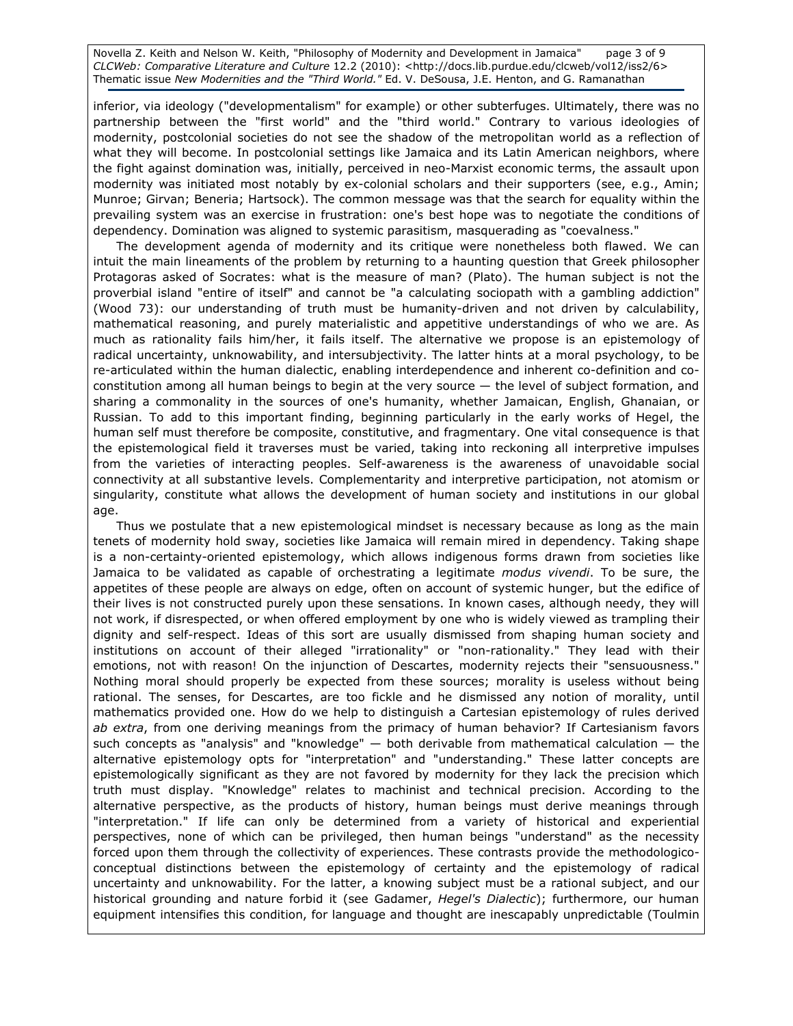Novella Z. Keith and Nelson W. Keith, "Philosophy of Modernity and Development in Jamaica" page 3 of 9 CLCWeb: Comparative Literature and Culture 12.2 (2010): <http://docs.lib.purdue.edu/clcweb/vol12/iss2/6> Thematic issue New Modernities and the "Third World." Ed. V. DeSousa, J.E. Henton, and G. Ramanathan

inferior, via ideology ("developmentalism" for example) or other subterfuges. Ultimately, there was no partnership between the "first world" and the "third world." Contrary to various ideologies of modernity, postcolonial societies do not see the shadow of the metropolitan world as a reflection of what they will become. In postcolonial settings like Jamaica and its Latin American neighbors, where the fight against domination was, initially, perceived in neo-Marxist economic terms, the assault upon modernity was initiated most notably by ex-colonial scholars and their supporters (see, e.g., Amin; Munroe; Girvan; Beneria; Hartsock). The common message was that the search for equality within the prevailing system was an exercise in frustration: one's best hope was to negotiate the conditions of dependency. Domination was aligned to systemic parasitism, masquerading as "coevalness."

The development agenda of modernity and its critique were nonetheless both flawed. We can intuit the main lineaments of the problem by returning to a haunting question that Greek philosopher Protagoras asked of Socrates: what is the measure of man? (Plato). The human subject is not the proverbial island "entire of itself" and cannot be "a calculating sociopath with a gambling addiction" (Wood 73): our understanding of truth must be humanity-driven and not driven by calculability, mathematical reasoning, and purely materialistic and appetitive understandings of who we are. As much as rationality fails him/her, it fails itself. The alternative we propose is an epistemology of radical uncertainty, unknowability, and intersubjectivity. The latter hints at a moral psychology, to be re-articulated within the human dialectic, enabling interdependence and inherent co-definition and coconstitution among all human beings to begin at the very source — the level of subject formation, and sharing a commonality in the sources of one's humanity, whether Jamaican, English, Ghanaian, or Russian. To add to this important finding, beginning particularly in the early works of Hegel, the human self must therefore be composite, constitutive, and fragmentary. One vital consequence is that the epistemological field it traverses must be varied, taking into reckoning all interpretive impulses from the varieties of interacting peoples. Self-awareness is the awareness of unavoidable social connectivity at all substantive levels. Complementarity and interpretive participation, not atomism or singularity, constitute what allows the development of human society and institutions in our global age.

Thus we postulate that a new epistemological mindset is necessary because as long as the main tenets of modernity hold sway, societies like Jamaica will remain mired in dependency. Taking shape is a non-certainty-oriented epistemology, which allows indigenous forms drawn from societies like Jamaica to be validated as capable of orchestrating a legitimate *modus vivendi*. To be sure, the appetites of these people are always on edge, often on account of systemic hunger, but the edifice of their lives is not constructed purely upon these sensations. In known cases, although needy, they will not work, if disrespected, or when offered employment by one who is widely viewed as trampling their dignity and self-respect. Ideas of this sort are usually dismissed from shaping human society and institutions on account of their alleged "irrationality" or "non-rationality." They lead with their emotions, not with reason! On the injunction of Descartes, modernity rejects their "sensuousness." Nothing moral should properly be expected from these sources; morality is useless without being rational. The senses, for Descartes, are too fickle and he dismissed any notion of morality, until mathematics provided one. How do we help to distinguish a Cartesian epistemology of rules derived ab extra, from one deriving meanings from the primacy of human behavior? If Cartesianism favors such concepts as "analysis" and "knowledge" — both derivable from mathematical calculation — the alternative epistemology opts for "interpretation" and "understanding." These latter concepts are epistemologically significant as they are not favored by modernity for they lack the precision which truth must display. "Knowledge" relates to machinist and technical precision. According to the alternative perspective, as the products of history, human beings must derive meanings through "interpretation." If life can only be determined from a variety of historical and experiential perspectives, none of which can be privileged, then human beings "understand" as the necessity forced upon them through the collectivity of experiences. These contrasts provide the methodologicoconceptual distinctions between the epistemology of certainty and the epistemology of radical uncertainty and unknowability. For the latter, a knowing subject must be a rational subject, and our historical grounding and nature forbid it (see Gadamer, Hegel's Dialectic); furthermore, our human equipment intensifies this condition, for language and thought are inescapably unpredictable (Toulmin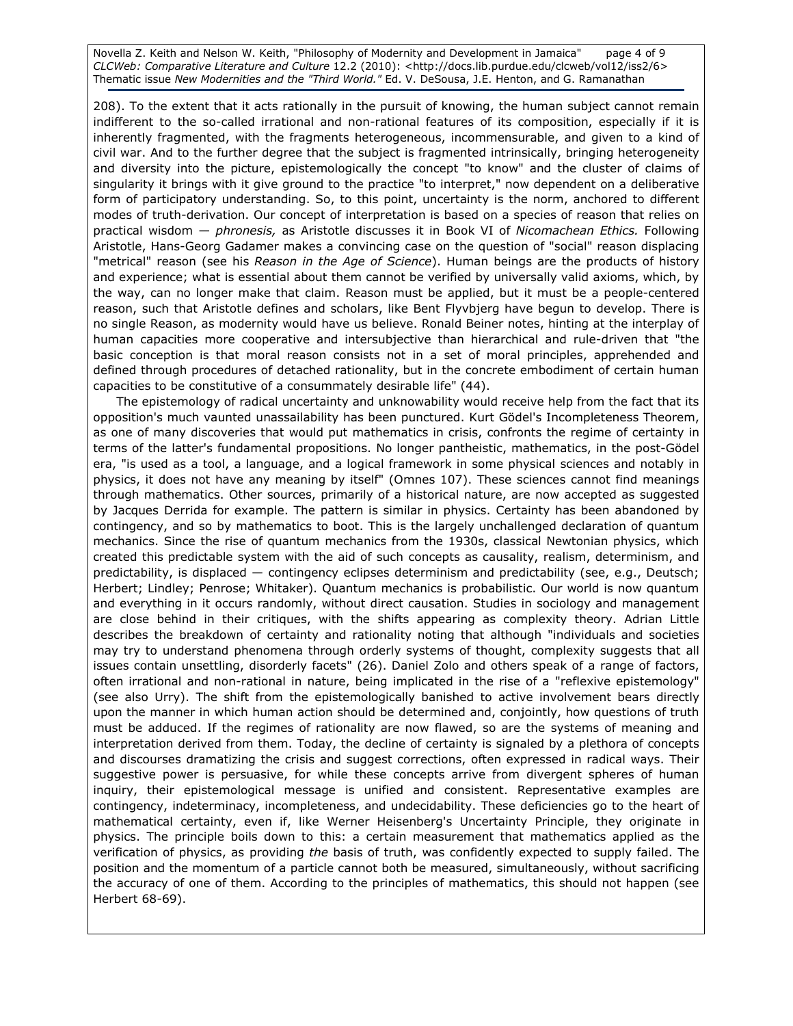Novella Z. Keith and Nelson W. Keith, "Philosophy of Modernity and Development in Jamaica" page 4 of 9 CLCWeb: Comparative Literature and Culture 12.2 (2010): <http://docs.lib.purdue.edu/clcweb/vol12/iss2/6> Thematic issue New Modernities and the "Third World." Ed. V. DeSousa, J.E. Henton, and G. Ramanathan

208). To the extent that it acts rationally in the pursuit of knowing, the human subject cannot remain indifferent to the so-called irrational and non-rational features of its composition, especially if it is inherently fragmented, with the fragments heterogeneous, incommensurable, and given to a kind of civil war. And to the further degree that the subject is fragmented intrinsically, bringing heterogeneity and diversity into the picture, epistemologically the concept "to know" and the cluster of claims of singularity it brings with it give ground to the practice "to interpret," now dependent on a deliberative form of participatory understanding. So, to this point, uncertainty is the norm, anchored to different modes of truth-derivation. Our concept of interpretation is based on a species of reason that relies on practical wisdom — *phronesis*, as Aristotle discusses it in Book VI of Nicomachean Ethics. Following Aristotle, Hans-Georg Gadamer makes a convincing case on the question of "social" reason displacing "metrical" reason (see his Reason in the Age of Science). Human beings are the products of history and experience; what is essential about them cannot be verified by universally valid axioms, which, by the way, can no longer make that claim. Reason must be applied, but it must be a people-centered reason, such that Aristotle defines and scholars, like Bent Flyvbjerg have begun to develop. There is no single Reason, as modernity would have us believe. Ronald Beiner notes, hinting at the interplay of human capacities more cooperative and intersubjective than hierarchical and rule-driven that "the basic conception is that moral reason consists not in a set of moral principles, apprehended and defined through procedures of detached rationality, but in the concrete embodiment of certain human capacities to be constitutive of a consummately desirable life" (44).

The epistemology of radical uncertainty and unknowability would receive help from the fact that its opposition's much vaunted unassailability has been punctured. Kurt Gödel's Incompleteness Theorem, as one of many discoveries that would put mathematics in crisis, confronts the regime of certainty in terms of the latter's fundamental propositions. No longer pantheistic, mathematics, in the post-Gödel era, "is used as a tool, a language, and a logical framework in some physical sciences and notably in physics, it does not have any meaning by itself" (Omnes 107). These sciences cannot find meanings through mathematics. Other sources, primarily of a historical nature, are now accepted as suggested by Jacques Derrida for example. The pattern is similar in physics. Certainty has been abandoned by contingency, and so by mathematics to boot. This is the largely unchallenged declaration of quantum mechanics. Since the rise of quantum mechanics from the 1930s, classical Newtonian physics, which created this predictable system with the aid of such concepts as causality, realism, determinism, and predictability, is displaced — contingency eclipses determinism and predictability (see, e.g., Deutsch; Herbert; Lindley; Penrose; Whitaker). Quantum mechanics is probabilistic. Our world is now quantum and everything in it occurs randomly, without direct causation. Studies in sociology and management are close behind in their critiques, with the shifts appearing as complexity theory. Adrian Little describes the breakdown of certainty and rationality noting that although "individuals and societies may try to understand phenomena through orderly systems of thought, complexity suggests that all issues contain unsettling, disorderly facets" (26). Daniel Zolo and others speak of a range of factors, often irrational and non-rational in nature, being implicated in the rise of a "reflexive epistemology" (see also Urry). The shift from the epistemologically banished to active involvement bears directly upon the manner in which human action should be determined and, conjointly, how questions of truth must be adduced. If the regimes of rationality are now flawed, so are the systems of meaning and interpretation derived from them. Today, the decline of certainty is signaled by a plethora of concepts and discourses dramatizing the crisis and suggest corrections, often expressed in radical ways. Their suggestive power is persuasive, for while these concepts arrive from divergent spheres of human inquiry, their epistemological message is unified and consistent. Representative examples are contingency, indeterminacy, incompleteness, and undecidability. These deficiencies go to the heart of mathematical certainty, even if, like Werner Heisenberg's Uncertainty Principle, they originate in physics. The principle boils down to this: a certain measurement that mathematics applied as the verification of physics, as providing the basis of truth, was confidently expected to supply failed. The position and the momentum of a particle cannot both be measured, simultaneously, without sacrificing the accuracy of one of them. According to the principles of mathematics, this should not happen (see Herbert 68-69).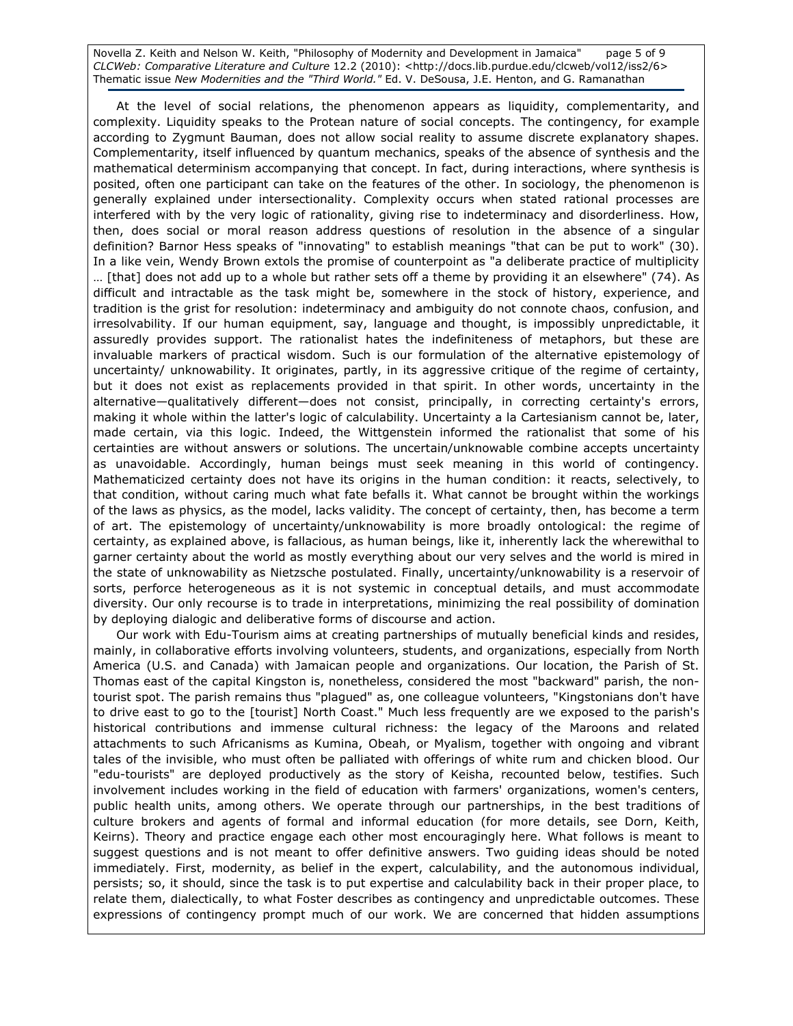Novella Z. Keith and Nelson W. Keith, "Philosophy of Modernity and Development in Jamaica" page 5 of 9 CLCWeb: Comparative Literature and Culture 12.2 (2010): <http://docs.lib.purdue.edu/clcweb/vol12/iss2/6> Thematic issue New Modernities and the "Third World." Ed. V. DeSousa, J.E. Henton, and G. Ramanathan

At the level of social relations, the phenomenon appears as liquidity, complementarity, and complexity. Liquidity speaks to the Protean nature of social concepts. The contingency, for example according to Zygmunt Bauman, does not allow social reality to assume discrete explanatory shapes. Complementarity, itself influenced by quantum mechanics, speaks of the absence of synthesis and the mathematical determinism accompanying that concept. In fact, during interactions, where synthesis is posited, often one participant can take on the features of the other. In sociology, the phenomenon is generally explained under intersectionality. Complexity occurs when stated rational processes are interfered with by the very logic of rationality, giving rise to indeterminacy and disorderliness. How, then, does social or moral reason address questions of resolution in the absence of a singular definition? Barnor Hess speaks of "innovating" to establish meanings "that can be put to work" (30). In a like vein, Wendy Brown extols the promise of counterpoint as "a deliberate practice of multiplicity … [that] does not add up to a whole but rather sets off a theme by providing it an elsewhere" (74). As difficult and intractable as the task might be, somewhere in the stock of history, experience, and tradition is the grist for resolution: indeterminacy and ambiguity do not connote chaos, confusion, and irresolvability. If our human equipment, say, language and thought, is impossibly unpredictable, it assuredly provides support. The rationalist hates the indefiniteness of metaphors, but these are invaluable markers of practical wisdom. Such is our formulation of the alternative epistemology of uncertainty/ unknowability. It originates, partly, in its aggressive critique of the regime of certainty, but it does not exist as replacements provided in that spirit. In other words, uncertainty in the alternative—qualitatively different—does not consist, principally, in correcting certainty's errors, making it whole within the latter's logic of calculability. Uncertainty a la Cartesianism cannot be, later, made certain, via this logic. Indeed, the Wittgenstein informed the rationalist that some of his certainties are without answers or solutions. The uncertain/unknowable combine accepts uncertainty as unavoidable. Accordingly, human beings must seek meaning in this world of contingency. Mathematicized certainty does not have its origins in the human condition: it reacts, selectively, to that condition, without caring much what fate befalls it. What cannot be brought within the workings of the laws as physics, as the model, lacks validity. The concept of certainty, then, has become a term of art. The epistemology of uncertainty/unknowability is more broadly ontological: the regime of certainty, as explained above, is fallacious, as human beings, like it, inherently lack the wherewithal to garner certainty about the world as mostly everything about our very selves and the world is mired in the state of unknowability as Nietzsche postulated. Finally, uncertainty/unknowability is a reservoir of sorts, perforce heterogeneous as it is not systemic in conceptual details, and must accommodate diversity. Our only recourse is to trade in interpretations, minimizing the real possibility of domination by deploying dialogic and deliberative forms of discourse and action.

Our work with Edu-Tourism aims at creating partnerships of mutually beneficial kinds and resides, mainly, in collaborative efforts involving volunteers, students, and organizations, especially from North America (U.S. and Canada) with Jamaican people and organizations. Our location, the Parish of St. Thomas east of the capital Kingston is, nonetheless, considered the most "backward" parish, the nontourist spot. The parish remains thus "plagued" as, one colleague volunteers, "Kingstonians don't have to drive east to go to the [tourist] North Coast." Much less frequently are we exposed to the parish's historical contributions and immense cultural richness: the legacy of the Maroons and related attachments to such Africanisms as Kumina, Obeah, or Myalism, together with ongoing and vibrant tales of the invisible, who must often be palliated with offerings of white rum and chicken blood. Our "edu-tourists" are deployed productively as the story of Keisha, recounted below, testifies. Such involvement includes working in the field of education with farmers' organizations, women's centers, public health units, among others. We operate through our partnerships, in the best traditions of culture brokers and agents of formal and informal education (for more details, see Dorn, Keith, Keirns). Theory and practice engage each other most encouragingly here. What follows is meant to suggest questions and is not meant to offer definitive answers. Two guiding ideas should be noted immediately. First, modernity, as belief in the expert, calculability, and the autonomous individual, persists; so, it should, since the task is to put expertise and calculability back in their proper place, to relate them, dialectically, to what Foster describes as contingency and unpredictable outcomes. These expressions of contingency prompt much of our work. We are concerned that hidden assumptions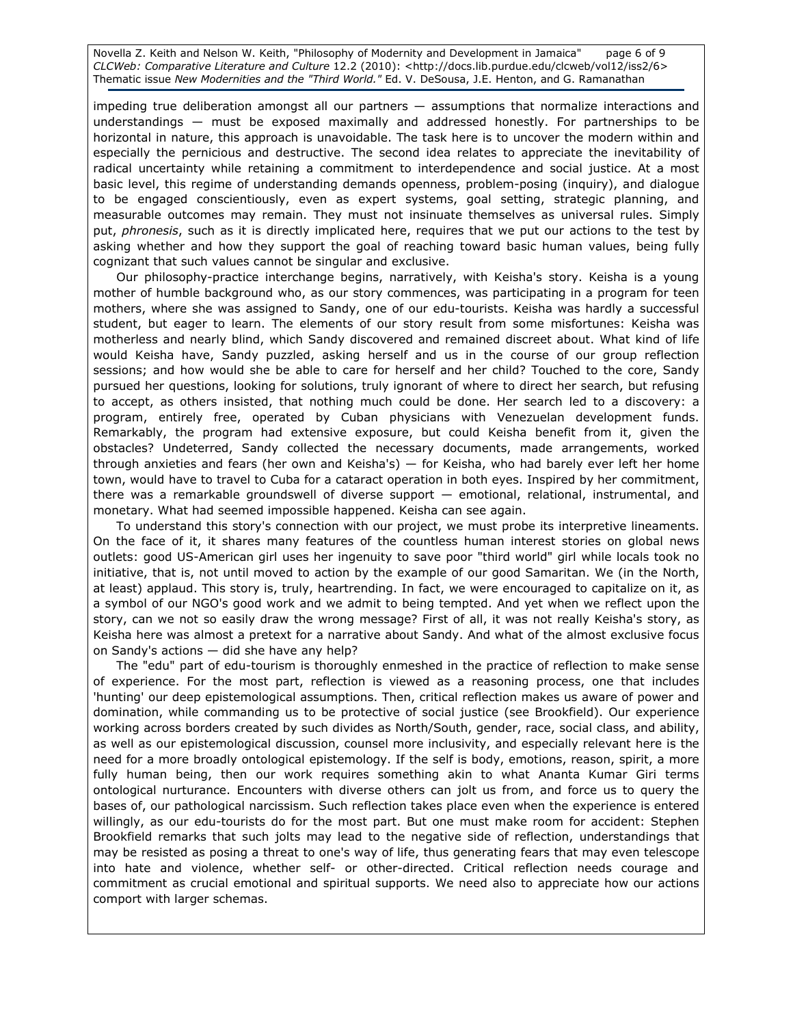Novella Z. Keith and Nelson W. Keith, "Philosophy of Modernity and Development in Jamaica" page 6 of 9 CLCWeb: Comparative Literature and Culture 12.2 (2010): <http://docs.lib.purdue.edu/clcweb/vol12/iss2/6> Thematic issue New Modernities and the "Third World." Ed. V. DeSousa, J.E. Henton, and G. Ramanathan

impeding true deliberation amongst all our partners — assumptions that normalize interactions and understandings — must be exposed maximally and addressed honestly. For partnerships to be horizontal in nature, this approach is unavoidable. The task here is to uncover the modern within and especially the pernicious and destructive. The second idea relates to appreciate the inevitability of radical uncertainty while retaining a commitment to interdependence and social justice. At a most basic level, this regime of understanding demands openness, problem-posing (inquiry), and dialogue to be engaged conscientiously, even as expert systems, goal setting, strategic planning, and measurable outcomes may remain. They must not insinuate themselves as universal rules. Simply put, phronesis, such as it is directly implicated here, requires that we put our actions to the test by asking whether and how they support the goal of reaching toward basic human values, being fully cognizant that such values cannot be singular and exclusive.

Our philosophy-practice interchange begins, narratively, with Keisha's story. Keisha is a young mother of humble background who, as our story commences, was participating in a program for teen mothers, where she was assigned to Sandy, one of our edu-tourists. Keisha was hardly a successful student, but eager to learn. The elements of our story result from some misfortunes: Keisha was motherless and nearly blind, which Sandy discovered and remained discreet about. What kind of life would Keisha have, Sandy puzzled, asking herself and us in the course of our group reflection sessions; and how would she be able to care for herself and her child? Touched to the core, Sandy pursued her questions, looking for solutions, truly ignorant of where to direct her search, but refusing to accept, as others insisted, that nothing much could be done. Her search led to a discovery: a program, entirely free, operated by Cuban physicians with Venezuelan development funds. Remarkably, the program had extensive exposure, but could Keisha benefit from it, given the obstacles? Undeterred, Sandy collected the necessary documents, made arrangements, worked through anxieties and fears (her own and Keisha's) — for Keisha, who had barely ever left her home town, would have to travel to Cuba for a cataract operation in both eyes. Inspired by her commitment, there was a remarkable groundswell of diverse support — emotional, relational, instrumental, and monetary. What had seemed impossible happened. Keisha can see again.

To understand this story's connection with our project, we must probe its interpretive lineaments. On the face of it, it shares many features of the countless human interest stories on global news outlets: good US-American girl uses her ingenuity to save poor "third world" girl while locals took no initiative, that is, not until moved to action by the example of our good Samaritan. We (in the North, at least) applaud. This story is, truly, heartrending. In fact, we were encouraged to capitalize on it, as a symbol of our NGO's good work and we admit to being tempted. And yet when we reflect upon the story, can we not so easily draw the wrong message? First of all, it was not really Keisha's story, as Keisha here was almost a pretext for a narrative about Sandy. And what of the almost exclusive focus on Sandy's actions — did she have any help?

The "edu" part of edu-tourism is thoroughly enmeshed in the practice of reflection to make sense of experience. For the most part, reflection is viewed as a reasoning process, one that includes 'hunting' our deep epistemological assumptions. Then, critical reflection makes us aware of power and domination, while commanding us to be protective of social justice (see Brookfield). Our experience working across borders created by such divides as North/South, gender, race, social class, and ability, as well as our epistemological discussion, counsel more inclusivity, and especially relevant here is the need for a more broadly ontological epistemology. If the self is body, emotions, reason, spirit, a more fully human being, then our work requires something akin to what Ananta Kumar Giri terms ontological nurturance. Encounters with diverse others can jolt us from, and force us to query the bases of, our pathological narcissism. Such reflection takes place even when the experience is entered willingly, as our edu-tourists do for the most part. But one must make room for accident: Stephen Brookfield remarks that such jolts may lead to the negative side of reflection, understandings that may be resisted as posing a threat to one's way of life, thus generating fears that may even telescope into hate and violence, whether self- or other-directed. Critical reflection needs courage and commitment as crucial emotional and spiritual supports. We need also to appreciate how our actions comport with larger schemas.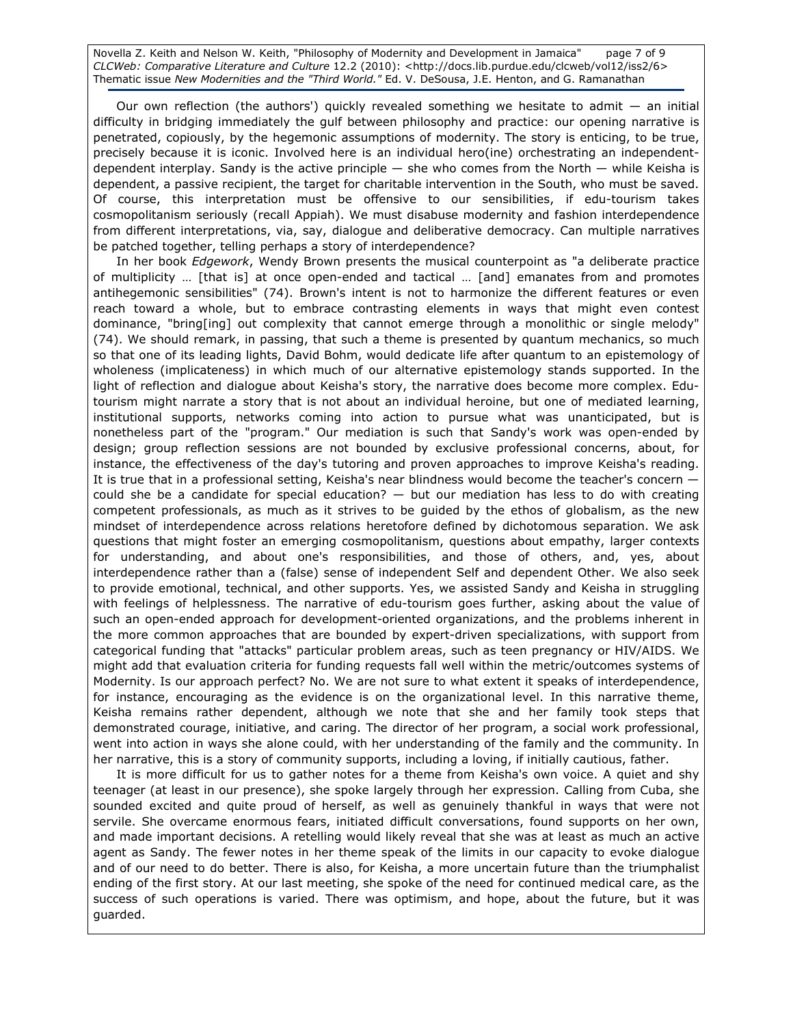Novella Z. Keith and Nelson W. Keith, "Philosophy of Modernity and Development in Jamaica" page 7 of 9 CLCWeb: Comparative Literature and Culture 12.2 (2010): <http://docs.lib.purdue.edu/clcweb/vol12/iss2/6> Thematic issue New Modernities and the "Third World." Ed. V. DeSousa, J.E. Henton, and G. Ramanathan

Our own reflection (the authors') quickly revealed something we hesitate to admit  $-$  an initial difficulty in bridging immediately the gulf between philosophy and practice: our opening narrative is penetrated, copiously, by the hegemonic assumptions of modernity. The story is enticing, to be true, precisely because it is iconic. Involved here is an individual hero(ine) orchestrating an independentdependent interplay. Sandy is the active principle — she who comes from the North — while Keisha is dependent, a passive recipient, the target for charitable intervention in the South, who must be saved. Of course, this interpretation must be offensive to our sensibilities, if edu-tourism takes cosmopolitanism seriously (recall Appiah). We must disabuse modernity and fashion interdependence from different interpretations, via, say, dialogue and deliberative democracy. Can multiple narratives be patched together, telling perhaps a story of interdependence?

In her book Edgework, Wendy Brown presents the musical counterpoint as "a deliberate practice of multiplicity … [that is] at once open-ended and tactical … [and] emanates from and promotes antihegemonic sensibilities" (74). Brown's intent is not to harmonize the different features or even reach toward a whole, but to embrace contrasting elements in ways that might even contest dominance, "bring[ing] out complexity that cannot emerge through a monolithic or single melody" (74). We should remark, in passing, that such a theme is presented by quantum mechanics, so much so that one of its leading lights, David Bohm, would dedicate life after quantum to an epistemology of wholeness (implicateness) in which much of our alternative epistemology stands supported. In the light of reflection and dialogue about Keisha's story, the narrative does become more complex. Edutourism might narrate a story that is not about an individual heroine, but one of mediated learning, institutional supports, networks coming into action to pursue what was unanticipated, but is nonetheless part of the "program." Our mediation is such that Sandy's work was open-ended by design; group reflection sessions are not bounded by exclusive professional concerns, about, for instance, the effectiveness of the day's tutoring and proven approaches to improve Keisha's reading. It is true that in a professional setting, Keisha's near blindness would become the teacher's concern could she be a candidate for special education?  $-$  but our mediation has less to do with creating competent professionals, as much as it strives to be guided by the ethos of globalism, as the new mindset of interdependence across relations heretofore defined by dichotomous separation. We ask questions that might foster an emerging cosmopolitanism, questions about empathy, larger contexts for understanding, and about one's responsibilities, and those of others, and, yes, about interdependence rather than a (false) sense of independent Self and dependent Other. We also seek to provide emotional, technical, and other supports. Yes, we assisted Sandy and Keisha in struggling with feelings of helplessness. The narrative of edu-tourism goes further, asking about the value of such an open-ended approach for development-oriented organizations, and the problems inherent in the more common approaches that are bounded by expert-driven specializations, with support from categorical funding that "attacks" particular problem areas, such as teen pregnancy or HIV/AIDS. We might add that evaluation criteria for funding requests fall well within the metric/outcomes systems of Modernity. Is our approach perfect? No. We are not sure to what extent it speaks of interdependence, for instance, encouraging as the evidence is on the organizational level. In this narrative theme, Keisha remains rather dependent, although we note that she and her family took steps that demonstrated courage, initiative, and caring. The director of her program, a social work professional, went into action in ways she alone could, with her understanding of the family and the community. In her narrative, this is a story of community supports, including a loving, if initially cautious, father.

It is more difficult for us to gather notes for a theme from Keisha's own voice. A quiet and shy teenager (at least in our presence), she spoke largely through her expression. Calling from Cuba, she sounded excited and quite proud of herself, as well as genuinely thankful in ways that were not servile. She overcame enormous fears, initiated difficult conversations, found supports on her own, and made important decisions. A retelling would likely reveal that she was at least as much an active agent as Sandy. The fewer notes in her theme speak of the limits in our capacity to evoke dialogue and of our need to do better. There is also, for Keisha, a more uncertain future than the triumphalist ending of the first story. At our last meeting, she spoke of the need for continued medical care, as the success of such operations is varied. There was optimism, and hope, about the future, but it was guarded.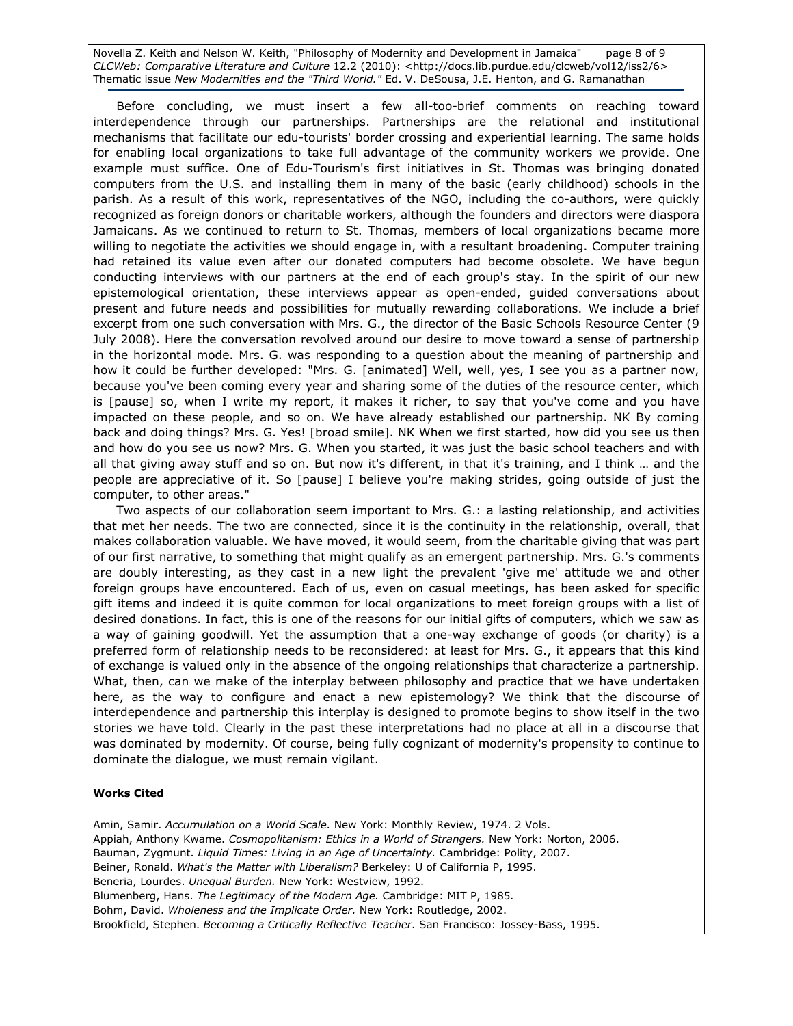Novella Z. Keith and Nelson W. Keith, "Philosophy of Modernity and Development in Jamaica" page 8 of 9 CLCWeb: Comparative Literature and Culture 12.2 (2010): <http://docs.lib.purdue.edu/clcweb/vol12/iss2/6> Thematic issue New Modernities and the "Third World." Ed. V. DeSousa, J.E. Henton, and G. Ramanathan

Before concluding, we must insert a few all-too-brief comments on reaching toward interdependence through our partnerships. Partnerships are the relational and institutional mechanisms that facilitate our edu-tourists' border crossing and experiential learning. The same holds for enabling local organizations to take full advantage of the community workers we provide. One example must suffice. One of Edu-Tourism's first initiatives in St. Thomas was bringing donated computers from the U.S. and installing them in many of the basic (early childhood) schools in the parish. As a result of this work, representatives of the NGO, including the co-authors, were quickly recognized as foreign donors or charitable workers, although the founders and directors were diaspora Jamaicans. As we continued to return to St. Thomas, members of local organizations became more willing to negotiate the activities we should engage in, with a resultant broadening. Computer training had retained its value even after our donated computers had become obsolete. We have begun conducting interviews with our partners at the end of each group's stay. In the spirit of our new epistemological orientation, these interviews appear as open-ended, guided conversations about present and future needs and possibilities for mutually rewarding collaborations. We include a brief excerpt from one such conversation with Mrs. G., the director of the Basic Schools Resource Center (9 July 2008). Here the conversation revolved around our desire to move toward a sense of partnership in the horizontal mode. Mrs. G. was responding to a question about the meaning of partnership and how it could be further developed: "Mrs. G. [animated] Well, well, yes, I see you as a partner now, because you've been coming every year and sharing some of the duties of the resource center, which is [pause] so, when I write my report, it makes it richer, to say that you've come and you have impacted on these people, and so on. We have already established our partnership. NK By coming back and doing things? Mrs. G. Yes! [broad smile]. NK When we first started, how did you see us then and how do you see us now? Mrs. G. When you started, it was just the basic school teachers and with all that giving away stuff and so on. But now it's different, in that it's training, and I think … and the people are appreciative of it. So [pause] I believe you're making strides, going outside of just the computer, to other areas."

Two aspects of our collaboration seem important to Mrs. G.: a lasting relationship, and activities that met her needs. The two are connected, since it is the continuity in the relationship, overall, that makes collaboration valuable. We have moved, it would seem, from the charitable giving that was part of our first narrative, to something that might qualify as an emergent partnership. Mrs. G.'s comments are doubly interesting, as they cast in a new light the prevalent 'give me' attitude we and other foreign groups have encountered. Each of us, even on casual meetings, has been asked for specific gift items and indeed it is quite common for local organizations to meet foreign groups with a list of desired donations. In fact, this is one of the reasons for our initial gifts of computers, which we saw as a way of gaining goodwill. Yet the assumption that a one-way exchange of goods (or charity) is a preferred form of relationship needs to be reconsidered: at least for Mrs. G., it appears that this kind of exchange is valued only in the absence of the ongoing relationships that characterize a partnership. What, then, can we make of the interplay between philosophy and practice that we have undertaken here, as the way to configure and enact a new epistemology? We think that the discourse of interdependence and partnership this interplay is designed to promote begins to show itself in the two stories we have told. Clearly in the past these interpretations had no place at all in a discourse that was dominated by modernity. Of course, being fully cognizant of modernity's propensity to continue to dominate the dialogue, we must remain vigilant.

#### Works Cited

Amin, Samir. Accumulation on a World Scale. New York: Monthly Review, 1974. 2 Vols. Appiah, Anthony Kwame. Cosmopolitanism: Ethics in a World of Strangers. New York: Norton, 2006. Bauman, Zygmunt. Liquid Times: Living in an Age of Uncertainty. Cambridge: Polity, 2007. Beiner, Ronald. What's the Matter with Liberalism? Berkeley: U of California P, 1995. Beneria, Lourdes. Unequal Burden. New York: Westview, 1992. Blumenberg, Hans. The Legitimacy of the Modern Age. Cambridge: MIT P, 1985. Bohm, David. Wholeness and the Implicate Order. New York: Routledge, 2002. Brookfield, Stephen. Becoming a Critically Reflective Teacher. San Francisco: Jossey-Bass, 1995.